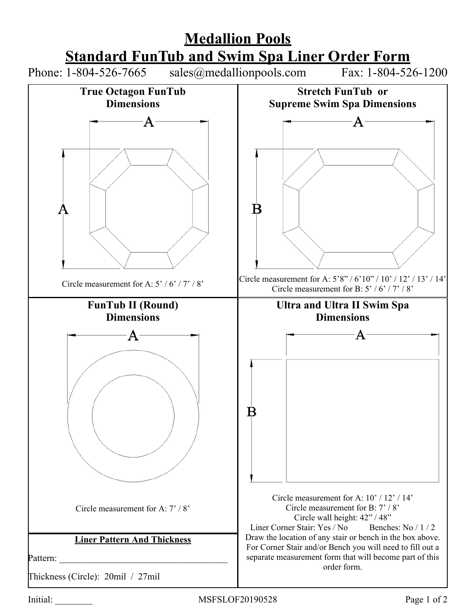